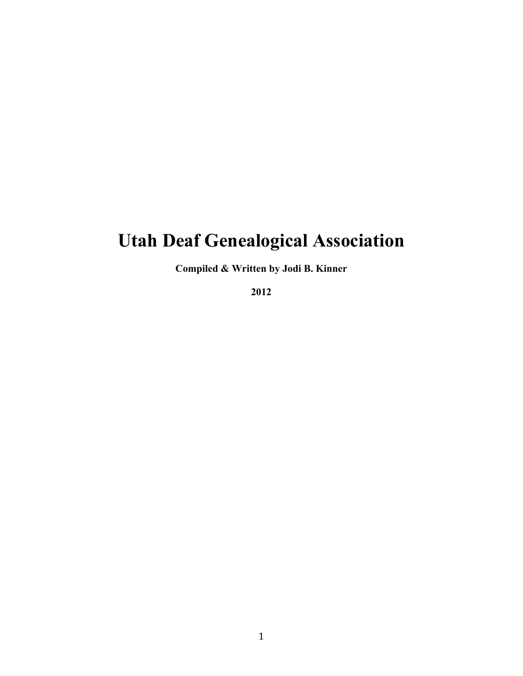## **Utah Deaf Genealogical Association**

**Compiled & Written by Jodi B. Kinner** 

**2012**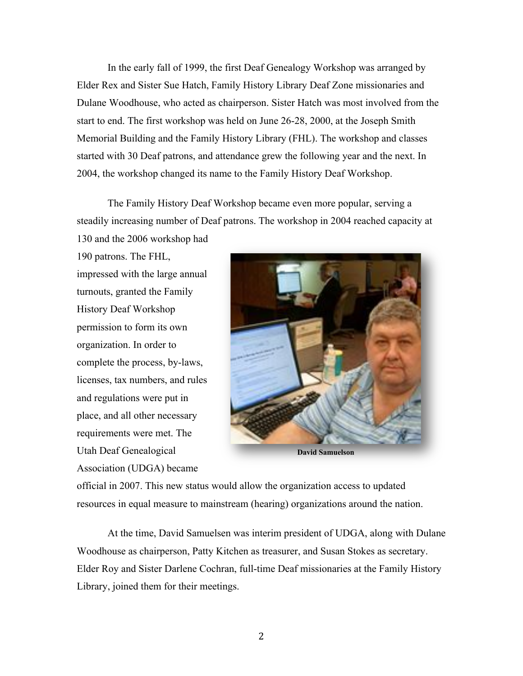In the early fall of 1999, the first Deaf Genealogy Workshop was arranged by Elder Rex and Sister Sue Hatch, Family History Library Deaf Zone missionaries and Dulane Woodhouse, who acted as chairperson. Sister Hatch was most involved from the start to end. The first workshop was held on June 26-28, 2000, at the Joseph Smith Memorial Building and the Family History Library (FHL). The workshop and classes started with 30 Deaf patrons, and attendance grew the following year and the next. In 2004, the workshop changed its name to the Family History Deaf Workshop.

The Family History Deaf Workshop became even more popular, serving a steadily increasing number of Deaf patrons. The workshop in 2004 reached capacity at 130 and the 2006 workshop had

190 patrons. The FHL, impressed with the large annual turnouts, granted the Family History Deaf Workshop permission to form its own organization. In order to complete the process, by-laws, licenses, tax numbers, and rules and regulations were put in place, and all other necessary requirements were met. The Utah Deaf Genealogical Association (UDGA) became



official in 2007. This new status would allow the organization access to updated resources in equal measure to mainstream (hearing) organizations around the nation.

At the time, David Samuelsen was interim president of UDGA, along with Dulane Woodhouse as chairperson, Patty Kitchen as treasurer, and Susan Stokes as secretary. Elder Roy and Sister Darlene Cochran, full-time Deaf missionaries at the Family History Library, joined them for their meetings.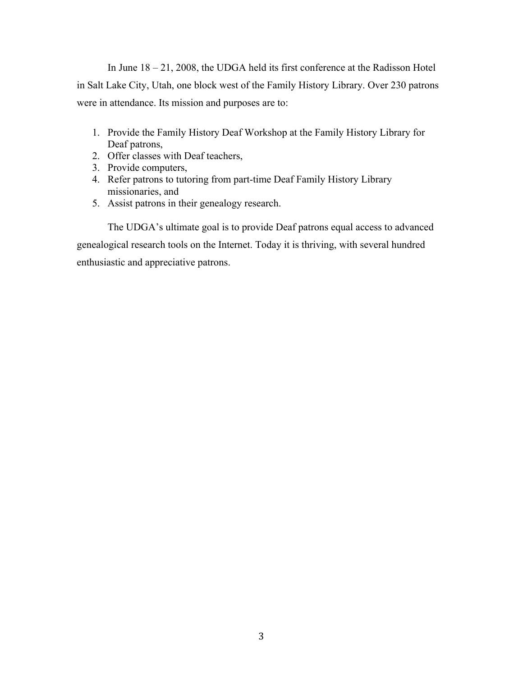In June 18 – 21, 2008, the UDGA held its first conference at the Radisson Hotel in Salt Lake City, Utah, one block west of the Family History Library. Over 230 patrons were in attendance. Its mission and purposes are to:

- 1. Provide the Family History Deaf Workshop at the Family History Library for Deaf patrons,
- 2. Offer classes with Deaf teachers,
- 3. Provide computers,
- 4. Refer patrons to tutoring from part-time Deaf Family History Library missionaries, and
- 5. Assist patrons in their genealogy research.

The UDGA's ultimate goal is to provide Deaf patrons equal access to advanced genealogical research tools on the Internet. Today it is thriving, with several hundred enthusiastic and appreciative patrons.